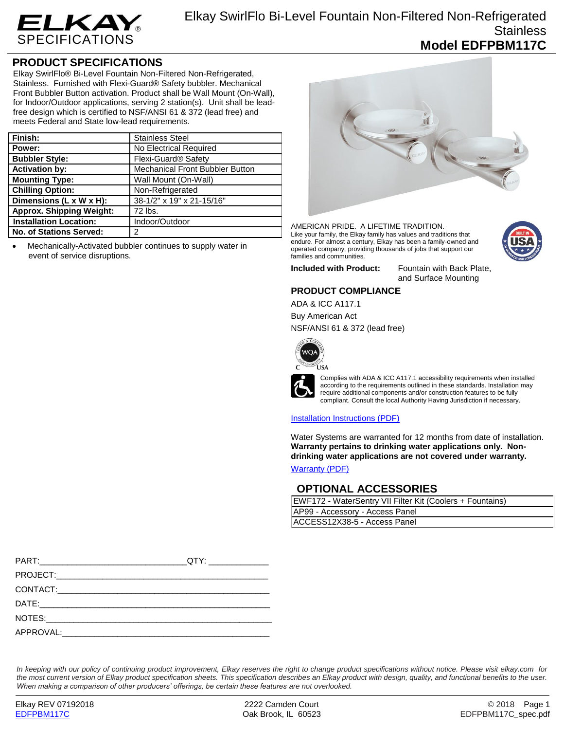

## **PRODUCT SPECIFICATIONS**

Elkay SwirlFlo® Bi-Level Fountain Non-Filtered Non-Refrigerated, Stainless. Furnished with Flexi-Guard® Safety bubbler. Mechanical Front Bubbler Button activation. Product shall be Wall Mount (On-Wall), for Indoor/Outdoor applications, serving 2 station(s). Unit shall be leadfree design which is certified to NSF/ANSI 61 & 372 (lead free) and meets Federal and State low-lead requirements.

| Finish:                         | <b>Stainless Steel</b>                 |
|---------------------------------|----------------------------------------|
| Power:                          | No Electrical Required                 |
| <b>Bubbler Style:</b>           | Flexi-Guard <sup>®</sup> Safety        |
| <b>Activation by:</b>           | <b>Mechanical Front Bubbler Button</b> |
| <b>Mounting Type:</b>           | Wall Mount (On-Wall)                   |
| <b>Chilling Option:</b>         | Non-Refrigerated                       |
| Dimensions (L x W x H):         | 38-1/2" x 19" x 21-15/16"              |
| <b>Approx. Shipping Weight:</b> | 72 lbs.                                |
| <b>Installation Location:</b>   | Indoor/Outdoor                         |
| No. of Stations Served:         | 2                                      |

 Mechanically-Activated bubbler continues to supply water in event of service disruptions.



AMERICAN PRIDE. A LIFETIME TRADITION. Like your family, the Elkay family has values and traditions that endure. For almost a century, Elkay has been a family-owned and operated company, providing thousands of jobs that support our families and communities.



**Included with Product:** Fountain with Back Plate, and Surface Mounting

### **PRODUCT COMPLIANCE**

ADA & ICC A117.1

Buy American Act NSF/ANSI 61 & 372 (lead free)



**ÚSA** 



require additional components and/or construction features to be fully compliant. Consult the local Authority Having Jurisdiction if necessary.

#### [Installation Instructions \(PDF\)](http://www.elkay.com/wcsstore/lkdocs/care-cleaning-install-warranty-sheets/97922c.pdf)

Water Systems are warranted for 12 months from date of installation. **Warranty pertains to drinking water applications only. Nondrinking water applications are not covered under warranty.**

[Warranty](http://www.elkay.com/wcsstore/lkdocs/care-cleaning-install-warranty-sheets/96993c.pdf) (PDF)

## **OPTIONAL ACCESSORIES**

| EWF172 - WaterSentry VII Filter Kit (Coolers + Fountains) |  |
|-----------------------------------------------------------|--|
| AP99 - Accessory - Access Panel                           |  |
| ACCESS12X38-5 - Access Panel                              |  |

*In keeping with our policy of continuing product improvement, Elkay reserves the right to change product specifications without notice. Please visit elkay.com for the most current version of Elkay product specification sheets. This specification describes an Elkay product with design, quality, and functional benefits to the user. When making a comparison of other producers' offerings, be certain these features are not overlooked.*